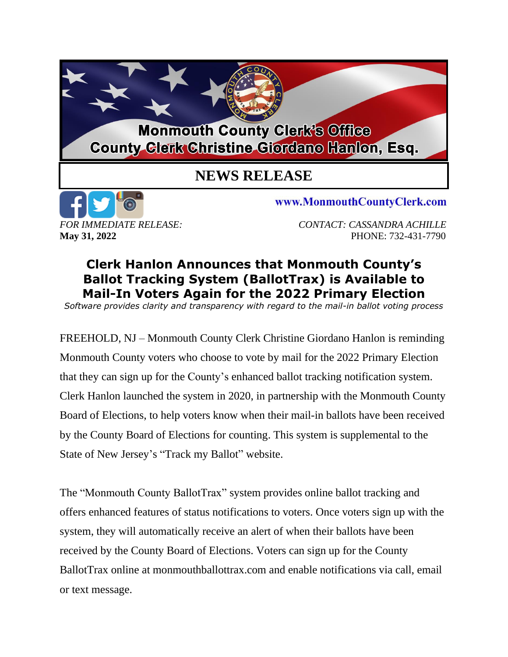## **Monmouth County Clerk's Office County Clerk Christine Giordano Hanlon, Esq.**

## **NEWS RELEASE**



www.MonmouthCountyClerk.com

**May 31, 2022 PHONE: 732-431-7790** 

## **Clerk Hanlon Announces that Monmouth County's Ballot Tracking System (BallotTrax) is Available to Mail-In Voters Again for the 2022 Primary Election**

*Software provides clarity and transparency with regard to the mail-in ballot voting process*

FREEHOLD, NJ – Monmouth County Clerk Christine Giordano Hanlon is reminding Monmouth County voters who choose to vote by mail for the 2022 Primary Election that they can sign up for the County's enhanced ballot tracking notification system. Clerk Hanlon launched the system in 2020, in partnership with the Monmouth County Board of Elections, to help voters know when their mail-in ballots have been received by the County Board of Elections for counting. This system is supplemental to the State of New Jersey's "Track my Ballot" website.

The "Monmouth County BallotTrax" system provides online ballot tracking and offers enhanced features of status notifications to voters. Once voters sign up with the system, they will automatically receive an alert of when their ballots have been received by the County Board of Elections. Voters can sign up for the County BallotTrax online at monmouthballottrax.com and enable notifications via call, email or text message.